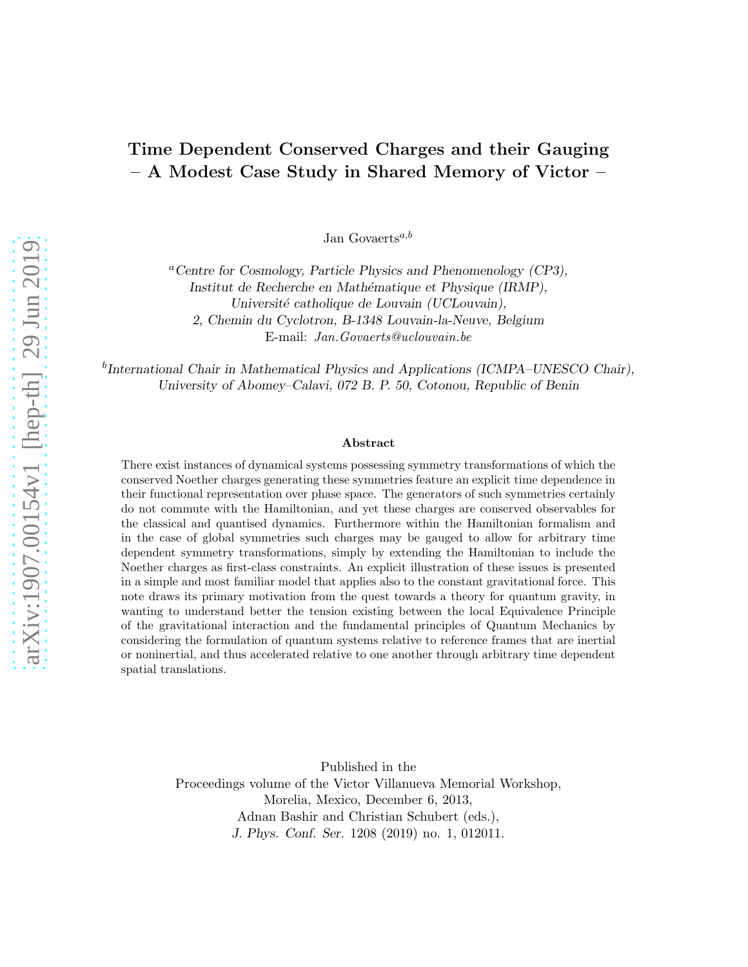# Time Dependent Conserved Charges and their Gauging – A Modest Case Study in Shared Memory of Victor –

Jan Govaerts<sup>a,b</sup>

<sup>*a*</sup> Centre for Cosmology, Particle Physics and Phenomenology (CP3), Institut de Recherche en Mathématique et Physique (IRMP), Université catholique de Louvain (UCLouvain), 2, Chemin du Cyclotron, B-1348 Louvain-la-Neuve, Belgium E-mail: Jan.Govaerts@uclouvain.be

<sup>b</sup>International Chair in Mathematical Physics and Applications (ICMPA–UNESCO Chair), University of Abomey–Calavi, 072 B. P. 50, Cotonou, Republic of Benin

#### Abstract

There exist instances of dynamical systems possessing symmetry transformations of which the conserved Noether charges generating these symmetries feature an explicit time dependence in their functional representation over phase space. The generators of such symmetries certainly do not commute with the Hamiltonian, and yet these charges are conserved observables for the classical and quantised dynamics. Furthermore within the Hamiltonian formalism and in the case of global symmetries such charges may be gauged to allow for arbitrary time dependent symmetry transformations, simply by extending the Hamiltonian to include the Noether charges as first-class constraints. An explicit illustration of these issues is presented in a simple and most familiar model that applies also to the constant gravitational force. This note draws its primary motivation from the quest towards a theory for quantum gravity, in wanting to understand better the tension existing between the local Equivalence Principle of the gravitational interaction and the fundamental principles of Quantum Mechanics by considering the formulation of quantum systems relative to reference frames that are inertial or noninertial, and thus accelerated relative to one another through arbitrary time dependent spatial translations.

> Published in the Proceedings volume of the Victor Villanueva Memorial Workshop, Morelia, Mexico, December 6, 2013, Adnan Bashir and Christian Schubert (eds.), J. Phys. Conf. Ser. 1208 (2019) no. 1, 012011.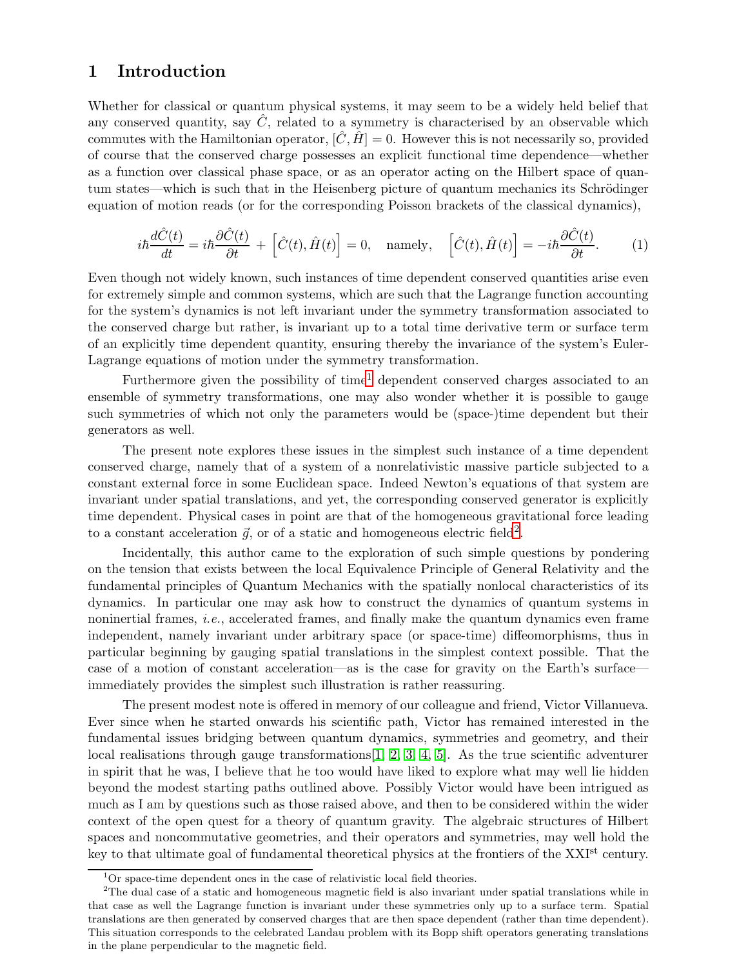## 1 Introduction

Whether for classical or quantum physical systems, it may seem to be a widely held belief that any conserved quantity, say  $\hat{C}$ , related to a symmetry is characterised by an observable which commutes with the Hamiltonian operator,  $[\hat{C}, \hat{H}] = 0$ . However this is not necessarily so, provided of course that the conserved charge possesses an explicit functional time dependence—whether as a function over classical phase space, or as an operator acting on the Hilbert space of quantum states—which is such that in the Heisenberg picture of quantum mechanics its Schrödinger equation of motion reads (or for the corresponding Poisson brackets of the classical dynamics),

$$
i\hbar \frac{d\hat{C}(t)}{dt} = i\hbar \frac{\partial \hat{C}(t)}{\partial t} + \left[ \hat{C}(t), \hat{H}(t) \right] = 0, \quad \text{namely,} \quad \left[ \hat{C}(t), \hat{H}(t) \right] = -i\hbar \frac{\partial \hat{C}(t)}{\partial t}.
$$
 (1)

Even though not widely known, such instances of time dependent conserved quantities arise even for extremely simple and common systems, which are such that the Lagrange function accounting for the system's dynamics is not left invariant under the symmetry transformation associated to the conserved charge but rather, is invariant up to a total time derivative term or surface term of an explicitly time dependent quantity, ensuring thereby the invariance of the system's Euler-Lagrange equations of motion under the symmetry transformation.

Furthermore given the possibility of time<sup>[1](#page-1-0)</sup> dependent conserved charges associated to an ensemble of symmetry transformations, one may also wonder whether it is possible to gauge such symmetries of which not only the parameters would be (space-)time dependent but their generators as well.

The present note explores these issues in the simplest such instance of a time dependent conserved charge, namely that of a system of a nonrelativistic massive particle subjected to a constant external force in some Euclidean space. Indeed Newton's equations of that system are invariant under spatial translations, and yet, the corresponding conserved generator is explicitly time dependent. Physical cases in point are that of the homogeneous gravitational force leading to a constant acceleration  $\vec{g}$ , or of a static and homogeneous electric field<sup>[2](#page-1-1)</sup>.

Incidentally, this author came to the exploration of such simple questions by pondering on the tension that exists between the local Equivalence Principle of General Relativity and the fundamental principles of Quantum Mechanics with the spatially nonlocal characteristics of its dynamics. In particular one may ask how to construct the dynamics of quantum systems in noninertial frames, i.e., accelerated frames, and finally make the quantum dynamics even frame independent, namely invariant under arbitrary space (or space-time) diffeomorphisms, thus in particular beginning by gauging spatial translations in the simplest context possible. That the case of a motion of constant acceleration—as is the case for gravity on the Earth's surface immediately provides the simplest such illustration is rather reassuring.

The present modest note is offered in memory of our colleague and friend, Victor Villanueva. Ever since when he started onwards his scientific path, Victor has remained interested in the fundamental issues bridging between quantum dynamics, symmetries and geometry, and their local realisations through gauge transformations<sup>[\[1,](#page-12-0) [2,](#page-12-1) [3,](#page-12-2) [4,](#page-12-3) [5\]](#page-12-4)</sub>. As the true scientific adventurer</sup> in spirit that he was, I believe that he too would have liked to explore what may well lie hidden beyond the modest starting paths outlined above. Possibly Victor would have been intrigued as much as I am by questions such as those raised above, and then to be considered within the wider context of the open quest for a theory of quantum gravity. The algebraic structures of Hilbert spaces and noncommutative geometries, and their operators and symmetries, may well hold the key to that ultimate goal of fundamental theoretical physics at the frontiers of the XXI<sup>st</sup> century.

<span id="page-1-0"></span><sup>&</sup>lt;sup>1</sup>Or space-time dependent ones in the case of relativistic local field theories.

<span id="page-1-1"></span><sup>2</sup>The dual case of a static and homogeneous magnetic field is also invariant under spatial translations while in that case as well the Lagrange function is invariant under these symmetries only up to a surface term. Spatial translations are then generated by conserved charges that are then space dependent (rather than time dependent). This situation corresponds to the celebrated Landau problem with its Bopp shift operators generating translations in the plane perpendicular to the magnetic field.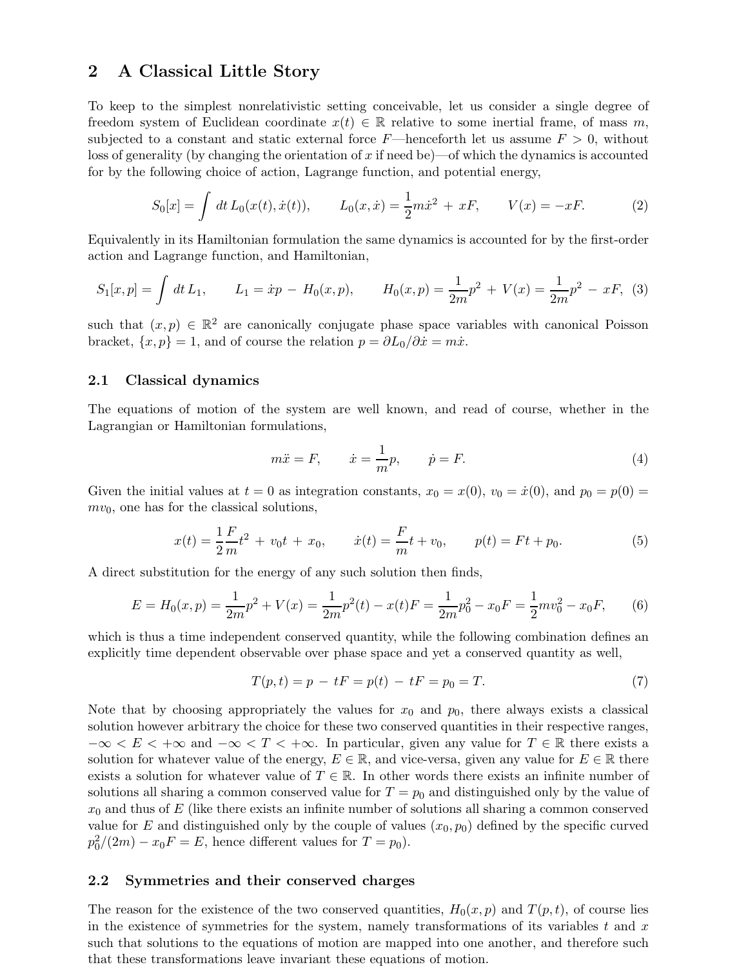## 2 A Classical Little Story

To keep to the simplest nonrelativistic setting conceivable, let us consider a single degree of freedom system of Euclidean coordinate  $x(t) \in \mathbb{R}$  relative to some inertial frame, of mass m, subjected to a constant and static external force  $F$ —henceforth let us assume  $F > 0$ , without loss of generality (by changing the orientation of x if need be)—of which the dynamics is accounted for by the following choice of action, Lagrange function, and potential energy,

<span id="page-2-0"></span>
$$
S_0[x] = \int dt L_0(x(t), \dot{x}(t)), \qquad L_0(x, \dot{x}) = \frac{1}{2}m\dot{x}^2 + xF, \qquad V(x) = -xF. \tag{2}
$$

Equivalently in its Hamiltonian formulation the same dynamics is accounted for by the first-order action and Lagrange function, and Hamiltonian,

$$
S_1[x, p] = \int dt L_1, \qquad L_1 = \dot{x}p - H_0(x, p), \qquad H_0(x, p) = \frac{1}{2m}p^2 + V(x) = \frac{1}{2m}p^2 - xF, \tag{3}
$$

such that  $(x, p) \in \mathbb{R}^2$  are canonically conjugate phase space variables with canonical Poisson bracket,  $\{x, p\} = 1$ , and of course the relation  $p = \partial L_0 / \partial \dot{x} = m\dot{x}$ .

#### 2.1 Classical dynamics

The equations of motion of the system are well known, and read of course, whether in the Lagrangian or Hamiltonian formulations,

$$
m\ddot{x} = F, \qquad \dot{x} = \frac{1}{m}p, \qquad \dot{p} = F. \tag{4}
$$

Given the initial values at  $t = 0$  as integration constants,  $x_0 = x(0), v_0 = \dot{x}(0)$ , and  $p_0 = p(0) = 0$  $mv_0$ , one has for the classical solutions,

$$
x(t) = \frac{1}{2}\frac{F}{m}t^2 + v_0t + x_0, \qquad \dot{x}(t) = \frac{F}{m}t + v_0, \qquad p(t) = Ft + p_0.
$$
 (5)

A direct substitution for the energy of any such solution then finds,

$$
E = H_0(x, p) = \frac{1}{2m}p^2 + V(x) = \frac{1}{2m}p^2(t) - x(t)F = \frac{1}{2m}p_0^2 - x_0F = \frac{1}{2}mv_0^2 - x_0F,
$$
(6)

which is thus a time independent conserved quantity, while the following combination defines an explicitly time dependent observable over phase space and yet a conserved quantity as well,

$$
T(p,t) = p - tF = p(t) - tF = p_0 = T.
$$
\n(7)

Note that by choosing appropriately the values for  $x_0$  and  $p_0$ , there always exists a classical solution however arbitrary the choice for these two conserved quantities in their respective ranges,  $-\infty < E < +\infty$  and  $-\infty < T < +\infty$ . In particular, given any value for  $T \in \mathbb{R}$  there exists a solution for whatever value of the energy,  $E \in \mathbb{R}$ , and vice-versa, given any value for  $E \in \mathbb{R}$  there exists a solution for whatever value of  $T \in \mathbb{R}$ . In other words there exists an infinite number of solutions all sharing a common conserved value for  $T = p_0$  and distinguished only by the value of  $x_0$  and thus of E (like there exists an infinite number of solutions all sharing a common conserved value for E and distinguished only by the couple of values  $(x_0, p_0)$  defined by the specific curved  $p_0^2/(2m) - x_0F = E$ , hence different values for  $T = p_0$ ).

#### 2.2 Symmetries and their conserved charges

The reason for the existence of the two conserved quantities,  $H_0(x, p)$  and  $T(p, t)$ , of course lies in the existence of symmetries for the system, namely transformations of its variables  $t$  and  $x$ such that solutions to the equations of motion are mapped into one another, and therefore such that these transformations leave invariant these equations of motion.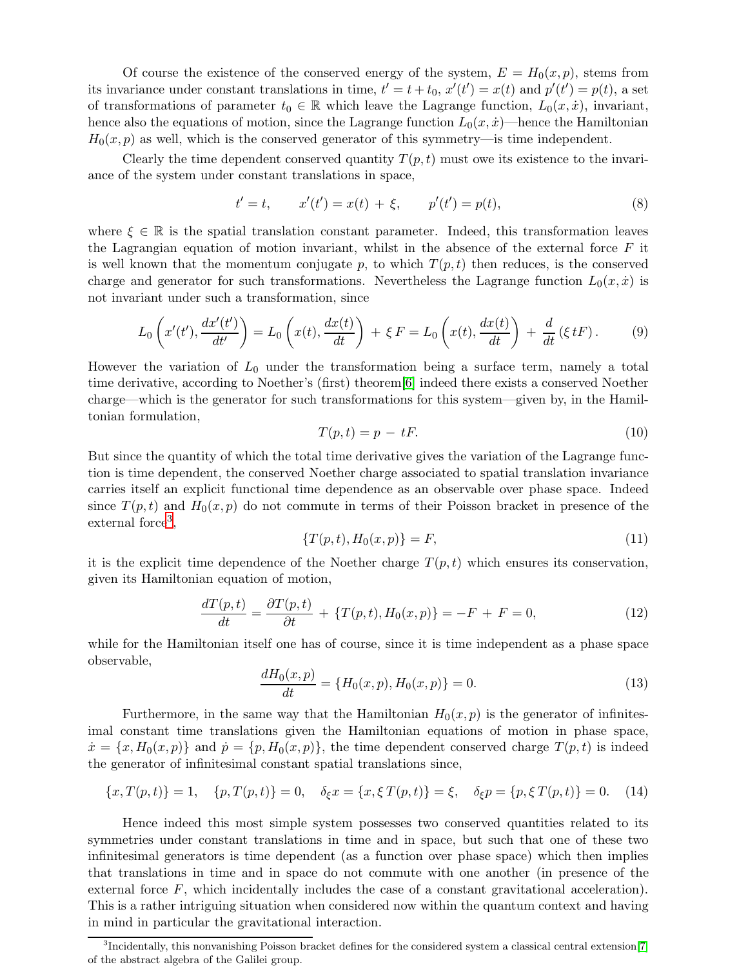Of course the existence of the conserved energy of the system,  $E = H_0(x, p)$ , stems from its invariance under constant translations in time,  $t' = t + t_0$ ,  $x'(t') = x(t)$  and  $p'(t') = p(t)$ , a set of transformations of parameter  $t_0 \in \mathbb{R}$  which leave the Lagrange function,  $L_0(x, \dot{x})$ , invariant, hence also the equations of motion, since the Lagrange function  $L_0(x, \dot{x})$ —hence the Hamiltonian  $H_0(x, p)$  as well, which is the conserved generator of this symmetry—is time independent.

Clearly the time dependent conserved quantity  $T(p, t)$  must owe its existence to the invariance of the system under constant translations in space,

$$
t' = t, \qquad x'(t') = x(t) + \xi, \qquad p'(t') = p(t), \tag{8}
$$

where  $\xi \in \mathbb{R}$  is the spatial translation constant parameter. Indeed, this transformation leaves the Lagrangian equation of motion invariant, whilst in the absence of the external force  $F$  it is well known that the momentum conjugate p, to which  $T(p, t)$  then reduces, is the conserved charge and generator for such transformations. Nevertheless the Lagrange function  $L_0(x, \dot{x})$  is not invariant under such a transformation, since

$$
L_0\left(x'(t'),\frac{dx'(t')}{dt'}\right) = L_0\left(x(t),\frac{dx(t)}{dt}\right) + \xi F = L_0\left(x(t),\frac{dx(t)}{dt}\right) + \frac{d}{dt}\left(\xi tF\right). \tag{9}
$$

However the variation of  $L_0$  under the transformation being a surface term, namely a total time derivative, according to Noether's (first) theorem[\[6\]](#page-12-5) indeed there exists a conserved Noether charge—which is the generator for such transformations for this system—given by, in the Hamiltonian formulation,

$$
T(p,t) = p - tF.
$$
\n<sup>(10)</sup>

But since the quantity of which the total time derivative gives the variation of the Lagrange function is time dependent, the conserved Noether charge associated to spatial translation invariance carries itself an explicit functional time dependence as an observable over phase space. Indeed since  $T(p, t)$  and  $H_0(x, p)$  do not commute in terms of their Poisson bracket in presence of the external force<sup>[3](#page-3-0)</sup>,

$$
\{T(p,t), H_0(x,p)\} = F,\t\t(11)
$$

it is the explicit time dependence of the Noether charge  $T(p, t)$  which ensures its conservation, given its Hamiltonian equation of motion,

$$
\frac{dT(p,t)}{dt} = \frac{\partial T(p,t)}{\partial t} + \{T(p,t), H_0(x,p)\} = -F + F = 0,\tag{12}
$$

while for the Hamiltonian itself one has of course, since it is time independent as a phase space observable,

$$
\frac{dH_0(x,p)}{dt} = \{H_0(x,p), H_0(x,p)\} = 0.
$$
\n(13)

Furthermore, in the same way that the Hamiltonian  $H_0(x, p)$  is the generator of infinitesimal constant time translations given the Hamiltonian equations of motion in phase space,  $\dot{x} = \{x, H_0(x, p)\}\$ and  $\dot{p} = \{p, H_0(x, p)\}\$ , the time dependent conserved charge  $T(p, t)$  is indeed the generator of infinitesimal constant spatial translations since,

$$
\{x, T(p, t)\} = 1, \quad \{p, T(p, t)\} = 0, \quad \delta_{\xi} x = \{x, \xi T(p, t)\} = \xi, \quad \delta_{\xi} p = \{p, \xi T(p, t)\} = 0. \quad (14)
$$

Hence indeed this most simple system possesses two conserved quantities related to its symmetries under constant translations in time and in space, but such that one of these two infinitesimal generators is time dependent (as a function over phase space) which then implies that translations in time and in space do not commute with one another (in presence of the external force  $F$ , which incidentally includes the case of a constant gravitational acceleration). This is a rather intriguing situation when considered now within the quantum context and having in mind in particular the gravitational interaction.

<span id="page-3-0"></span> ${}^{3}$ Incidentally, this nonvanishing Poisson bracket defines for the considered system a classical central extension[\[7\]](#page-12-6) of the abstract algebra of the Galilei group.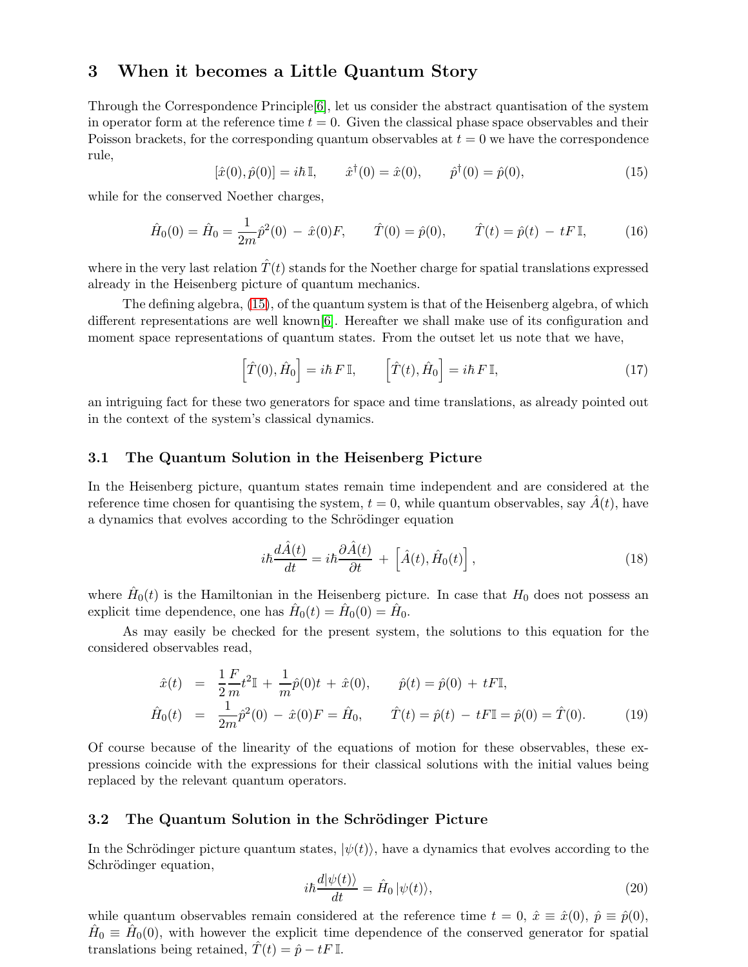## 3 When it becomes a Little Quantum Story

Through the Correspondence Principle[\[6\]](#page-12-5), let us consider the abstract quantisation of the system in operator form at the reference time  $t = 0$ . Given the classical phase space observables and their Poisson brackets, for the corresponding quantum observables at  $t = 0$  we have the correspondence rule,

<span id="page-4-0"></span>
$$
[\hat{x}(0), \hat{p}(0)] = i\hbar \mathbb{I}, \qquad \hat{x}^{\dagger}(0) = \hat{x}(0), \qquad \hat{p}^{\dagger}(0) = \hat{p}(0), \tag{15}
$$

while for the conserved Noether charges,

$$
\hat{H}_0(0) = \hat{H}_0 = \frac{1}{2m}\hat{p}^2(0) - \hat{x}(0)F, \qquad \hat{T}(0) = \hat{p}(0), \qquad \hat{T}(t) = \hat{p}(t) - tF\mathbb{I}, \tag{16}
$$

where in the very last relation  $\hat{T}(t)$  stands for the Noether charge for spatial translations expressed already in the Heisenberg picture of quantum mechanics.

The defining algebra, [\(15\)](#page-4-0), of the quantum system is that of the Heisenberg algebra, of which different representations are well known[\[6\]](#page-12-5). Hereafter we shall make use of its configuration and moment space representations of quantum states. From the outset let us note that we have,

$$
\left[\hat{T}(0),\hat{H}_0\right] = i\hbar F \mathbb{I}, \qquad \left[\hat{T}(t),\hat{H}_0\right] = i\hbar F \mathbb{I}, \tag{17}
$$

an intriguing fact for these two generators for space and time translations, as already pointed out in the context of the system's classical dynamics.

### 3.1 The Quantum Solution in the Heisenberg Picture

In the Heisenberg picture, quantum states remain time independent and are considered at the reference time chosen for quantising the system,  $t = 0$ , while quantum observables, say  $\hat{A}(t)$ , have a dynamics that evolves according to the Schrödinger equation

$$
i\hbar \frac{d\hat{A}(t)}{dt} = i\hbar \frac{\partial \hat{A}(t)}{\partial t} + \left[ \hat{A}(t), \hat{H}_0(t) \right],
$$
\n(18)

where  $\hat{H}_0(t)$  is the Hamiltonian in the Heisenberg picture. In case that  $H_0$  does not possess an explicit time dependence, one has  $\hat{H}_0(t) = \hat{H}_0(0) = \hat{H}_0$ .

As may easily be checked for the present system, the solutions to this equation for the considered observables read,

$$
\begin{aligned}\n\hat{x}(t) &= \frac{1}{2} \frac{F}{m} t^2 \mathbb{I} + \frac{1}{m} \hat{p}(0) t + \hat{x}(0), \qquad \hat{p}(t) = \hat{p}(0) + tF \mathbb{I}, \\
\hat{H}_0(t) &= \frac{1}{2m} \hat{p}^2(0) - \hat{x}(0) F = \hat{H}_0, \qquad \hat{T}(t) = \hat{p}(t) - tF \mathbb{I} = \hat{p}(0) = \hat{T}(0).\n\end{aligned} \tag{19}
$$

Of course because of the linearity of the equations of motion for these observables, these expressions coincide with the expressions for their classical solutions with the initial values being replaced by the relevant quantum operators.

### 3.2 The Quantum Solution in the Schrödinger Picture

In the Schrödinger picture quantum states,  $|\psi(t)\rangle$ , have a dynamics that evolves according to the Schrödinger equation,

$$
i\hbar \frac{d|\psi(t)\rangle}{dt} = \hat{H}_0 |\psi(t)\rangle, \qquad (20)
$$

while quantum observables remain considered at the reference time  $t = 0$ ,  $\hat{x} \equiv \hat{x}(0)$ ,  $\hat{p} \equiv \hat{p}(0)$ ,  $\hat{H}_0 \equiv \hat{H}_0(0)$ , with however the explicit time dependence of the conserved generator for spatial translations being retained,  $\hat{T}(t) = \hat{p} - tF \mathbb{I}$ .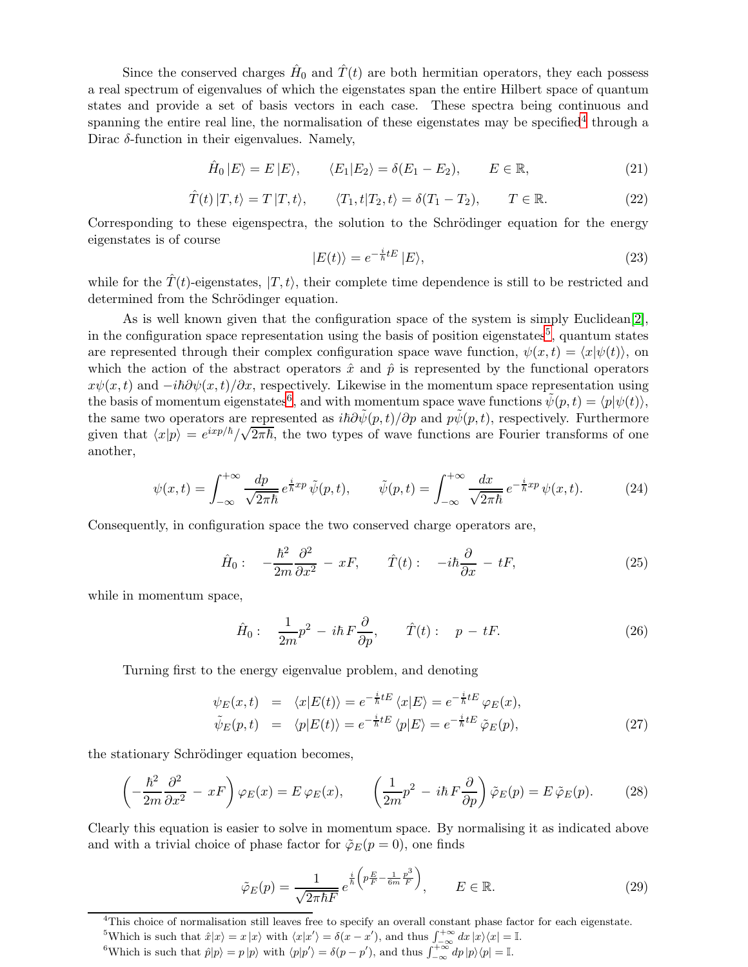Since the conserved charges  $\hat{H}_0$  and  $\hat{T}(t)$  are both hermitian operators, they each possess a real spectrum of eigenvalues of which the eigenstates span the entire Hilbert space of quantum states and provide a set of basis vectors in each case. These spectra being continuous and spanning the entire real line, the normalisation of these eigenstates may be specified<sup>[4](#page-5-0)</sup> through a Dirac  $\delta$ -function in their eigenvalues. Namely,

$$
\hat{H}_0 |E\rangle = E |E\rangle, \qquad \langle E_1 | E_2 \rangle = \delta(E_1 - E_2), \qquad E \in \mathbb{R}, \tag{21}
$$

$$
\hat{T}(t) |T, t\rangle = T |T, t\rangle, \qquad \langle T_1, t | T_2, t\rangle = \delta(T_1 - T_2), \qquad T \in \mathbb{R}.
$$
\n(22)

Corresponding to these eigenspectra, the solution to the Schrödinger equation for the energy eigenstates is of course

$$
|E(t)\rangle = e^{-\frac{i}{\hbar}tE}|E\rangle,
$$
\n(23)

while for the  $\hat{T}(t)$ -eigenstates,  $|T, t\rangle$ , their complete time dependence is still to be restricted and determined from the Schrödinger equation.

As is well known given that the configuration space of the system is simply Euclidean[\[2\]](#page-12-1), in the configuration space representation using the basis of position eigenstates<sup>[5](#page-5-1)</sup>, quantum states are represented through their complex configuration space wave function,  $\psi(x, t) = \langle x | \psi(t) \rangle$ , on which the action of the abstract operators  $\hat{x}$  and  $\hat{p}$  is represented by the functional operators  $x\psi(x,t)$  and  $-i\hbar\partial\psi(x,t)/\partial x$ , respectively. Likewise in the momentum space representation using the basis of momentum eigenstates<sup>[6](#page-5-2)</sup>, and with momentum space wave functions  $\tilde{\psi}(p, t) = \langle p | \psi(t) \rangle$ , the same two operators are represented as  $i\hbar\partial \tilde{\psi}(p, t)/\partial p$  and  $p\tilde{\psi}(p, t)$ , respectively. Furthermore given that  $\langle x|p \rangle = e^{i x p/\hbar} / \sqrt{2\pi \hbar}$ , the two types of wave functions are Fourier transforms of one another,

$$
\psi(x,t) = \int_{-\infty}^{+\infty} \frac{dp}{\sqrt{2\pi\hbar}} e^{\frac{i}{\hbar}xp} \tilde{\psi}(p,t), \qquad \tilde{\psi}(p,t) = \int_{-\infty}^{+\infty} \frac{dx}{\sqrt{2\pi\hbar}} e^{-\frac{i}{\hbar}xp} \psi(x,t). \tag{24}
$$

Consequently, in configuration space the two conserved charge operators are,

$$
\hat{H}_0: \quad -\frac{\hbar^2}{2m}\frac{\partial^2}{\partial x^2} - xF, \qquad \hat{T}(t): \quad -i\hbar\frac{\partial}{\partial x} - tF,\tag{25}
$$

while in momentum space,

$$
\hat{H}_0: \quad \frac{1}{2m}p^2 - i\hbar F \frac{\partial}{\partial p}, \qquad \hat{T}(t): \quad p - tF. \tag{26}
$$

Turning first to the energy eigenvalue problem, and denoting

$$
\psi_E(x,t) = \langle x|E(t)\rangle = e^{-\frac{i}{\hbar}tE} \langle x|E\rangle = e^{-\frac{i}{\hbar}tE} \varphi_E(x),
$$
  

$$
\tilde{\psi}_E(p,t) = \langle p|E(t)\rangle = e^{-\frac{i}{\hbar}tE} \langle p|E\rangle = e^{-\frac{i}{\hbar}tE} \tilde{\varphi}_E(p),
$$
\n(27)

the stationary Schrödinger equation becomes,

$$
\left(-\frac{\hbar^2}{2m}\frac{\partial^2}{\partial x^2} - xF\right)\varphi_E(x) = E\,\varphi_E(x), \qquad \left(\frac{1}{2m}p^2 - i\hbar\,F\frac{\partial}{\partial p}\right)\tilde{\varphi}_E(p) = E\,\tilde{\varphi}_E(p). \tag{28}
$$

Clearly this equation is easier to solve in momentum space. By normalising it as indicated above and with a trivial choice of phase factor for  $\tilde{\varphi}_E(p=0)$ , one finds

$$
\tilde{\varphi}_E(p) = \frac{1}{\sqrt{2\pi\hbar F}} e^{\frac{i}{\hbar} \left( p \frac{E}{F} - \frac{1}{6m} \frac{p^3}{F} \right)}, \qquad E \in \mathbb{R}.
$$
\n(29)

<sup>&</sup>lt;sup>4</sup>This choice of normalisation still leaves free to specify an overall constant phase factor for each eigenstate.

<span id="page-5-0"></span><sup>&</sup>lt;sup>5</sup>Which is such that  $\hat{x}|x\rangle = x|x\rangle$  with  $\langle x|x'\rangle = \delta(x-x')$ , and thus  $\int_{-\infty}^{+\infty} dx |x\rangle\langle x| = \mathbb{I}$ .

<span id="page-5-2"></span><span id="page-5-1"></span><sup>&</sup>lt;sup>6</sup>Which is such that  $\hat{p}|p\rangle = p |p\rangle$  with  $\langle p|p'\rangle = \delta(p-p')$ , and thus  $\int_{-\infty}^{+\infty} dp |p\rangle\langle p| = \mathbb{I}$ .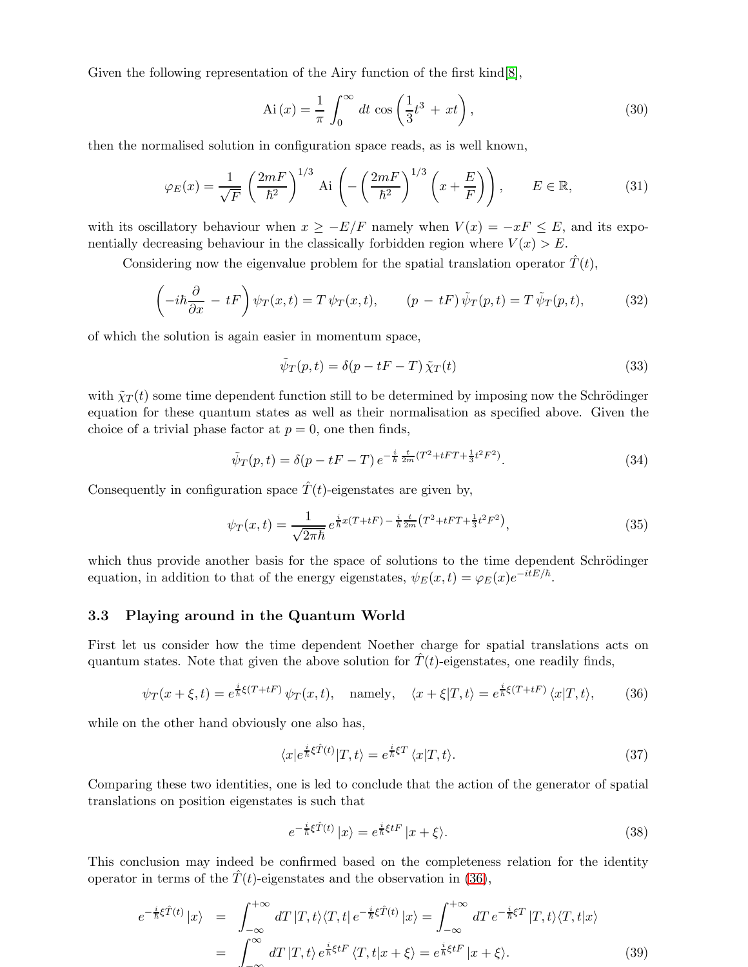Given the following representation of the Airy function of the first kind [\[8\]](#page-12-7),

$$
Ai(x) = \frac{1}{\pi} \int_0^\infty dt \cos\left(\frac{1}{3}t^3 + xt\right),\tag{30}
$$

then the normalised solution in configuration space reads, as is well known,

$$
\varphi_E(x) = \frac{1}{\sqrt{F}} \left(\frac{2mF}{\hbar^2}\right)^{1/3} \text{Ai}\left(-\left(\frac{2mF}{\hbar^2}\right)^{1/3} \left(x + \frac{E}{F}\right)\right), \qquad E \in \mathbb{R},\tag{31}
$$

with its oscillatory behaviour when  $x \geq -E/F$  namely when  $V(x) = -xF \leq E$ , and its exponentially decreasing behaviour in the classically forbidden region where  $V(x) > E$ .

Considering now the eigenvalue problem for the spatial translation operator  $\hat{T}(t)$ ,

$$
\left(-i\hbar\frac{\partial}{\partial x} - tF\right)\psi_T(x,t) = T\,\psi_T(x,t), \qquad (p - tF)\,\tilde{\psi}_T(p,t) = T\,\tilde{\psi}_T(p,t), \tag{32}
$$

of which the solution is again easier in momentum space,

$$
\tilde{\psi}_T(p,t) = \delta(p - tF - T)\tilde{\chi}_T(t)
$$
\n(33)

with  $\tilde{\chi}_T(t)$  some time dependent function still to be determined by imposing now the Schrödinger equation for these quantum states as well as their normalisation as specified above. Given the choice of a trivial phase factor at  $p = 0$ , one then finds,

$$
\tilde{\psi}_T(p,t) = \delta(p - tF - T) e^{-\frac{i}{\hbar} \frac{t}{2m}(T^2 + tFT + \frac{1}{3}t^2F^2)}.
$$
\n(34)

Consequently in configuration space  $\hat{T}(t)$ -eigenstates are given by,

$$
\psi_T(x,t) = \frac{1}{\sqrt{2\pi\hbar}} e^{\frac{i}{\hbar}x(T+tF) - \frac{i}{\hbar}\frac{t}{2m}(T^2+tFT + \frac{1}{3}t^2F^2)},
$$
\n(35)

which thus provide another basis for the space of solutions to the time dependent Schrödinger equation, in addition to that of the energy eigenstates,  $\psi_E(x,t) = \varphi_E(x)e^{-i\tilde{t}E/\hbar}$ .

#### 3.3 Playing around in the Quantum World

First let us consider how the time dependent Noether charge for spatial translations acts on quantum states. Note that given the above solution for  $\hat{T}(t)$ -eigenstates, one readily finds,

<span id="page-6-0"></span>
$$
\psi_T(x+\xi,t) = e^{\frac{i}{\hbar}\xi(T+tF)}\,\psi_T(x,t), \quad \text{namely,} \quad \langle x+\xi|T,t\rangle = e^{\frac{i}{\hbar}\xi(T+tF)}\,\langle x|T,t\rangle,\tag{36}
$$

while on the other hand obviously one also has,

$$
\langle x|e^{\frac{i}{\hbar}\xi\hat{T}(t)}|T,t\rangle = e^{\frac{i}{\hbar}\xi T}\langle x|T,t\rangle.
$$
\n(37)

Comparing these two identities, one is led to conclude that the action of the generator of spatial translations on position eigenstates is such that

$$
e^{-\frac{i}{\hbar}\xi\hat{T}(t)}\left|x\right\rangle = e^{\frac{i}{\hbar}\xi tF}\left|x+\xi\right\rangle. \tag{38}
$$

This conclusion may indeed be confirmed based on the completeness relation for the identity operator in terms of the  $\hat{T}(t)$ -eigenstates and the observation in [\(36\)](#page-6-0),

$$
e^{-\frac{i}{\hbar}\xi\hat{T}(t)}|x\rangle = \int_{-\infty}^{+\infty} dT |T,t\rangle \langle T,t| e^{-\frac{i}{\hbar}\xi\hat{T}(t)} |x\rangle = \int_{-\infty}^{+\infty} dT e^{-\frac{i}{\hbar}\xi T} |T,t\rangle \langle T,t|x\rangle
$$
  
= 
$$
\int_{-\infty}^{\infty} dT |T,t\rangle e^{\frac{i}{\hbar}\xi tF} \langle T,t|x+\xi\rangle = e^{\frac{i}{\hbar}\xi tF} |x+\xi\rangle.
$$
 (39)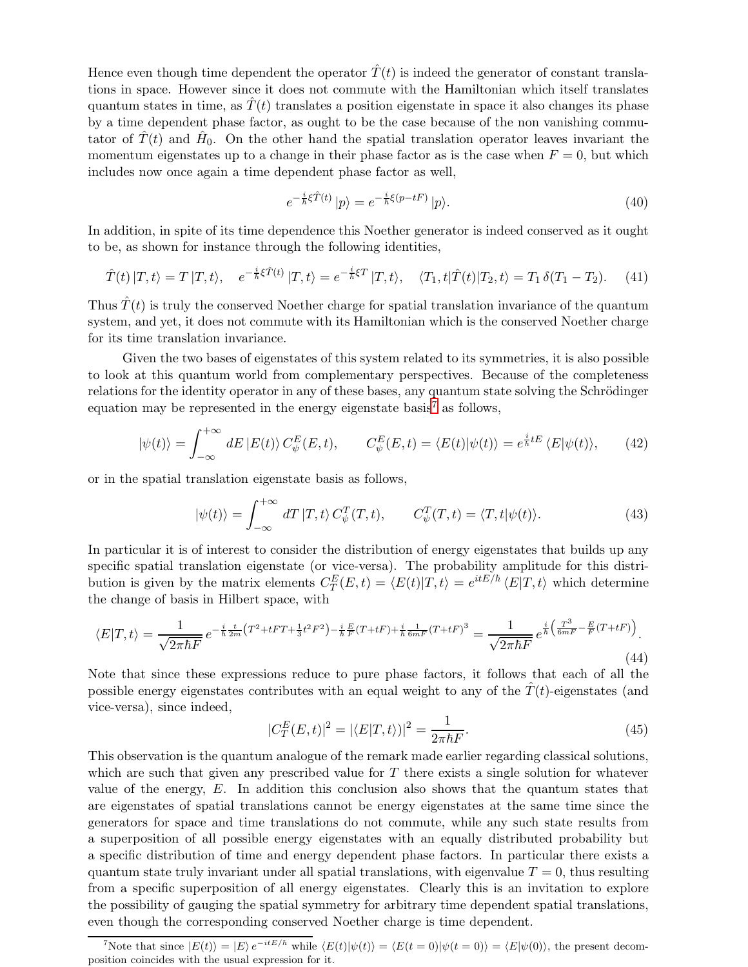Hence even though time dependent the operator  $\hat{T}(t)$  is indeed the generator of constant translations in space. However since it does not commute with the Hamiltonian which itself translates quantum states in time, as  $T(t)$  translates a position eigenstate in space it also changes its phase by a time dependent phase factor, as ought to be the case because of the non vanishing commutator of  $\hat{T}(t)$  and  $\hat{H}_0$ . On the other hand the spatial translation operator leaves invariant the momentum eigenstates up to a change in their phase factor as is the case when  $F = 0$ , but which includes now once again a time dependent phase factor as well,

$$
e^{-\frac{i}{\hbar}\xi\hat{T}(t)}\left|p\right\rangle = e^{-\frac{i}{\hbar}\xi(p-tF)}\left|p\right\rangle. \tag{40}
$$

In addition, in spite of its time dependence this Noether generator is indeed conserved as it ought to be, as shown for instance through the following identities,

$$
\hat{T}(t) |T, t\rangle = T |T, t\rangle, \quad e^{-\frac{i}{\hbar}\xi\hat{T}(t)} |T, t\rangle = e^{-\frac{i}{\hbar}\xi T} |T, t\rangle, \quad \langle T_1, t|\hat{T}(t)|T_2, t\rangle = T_1 \delta(T_1 - T_2). \tag{41}
$$

Thus  $\hat{T}(t)$  is truly the conserved Noether charge for spatial translation invariance of the quantum system, and yet, it does not commute with its Hamiltonian which is the conserved Noether charge for its time translation invariance.

Given the two bases of eigenstates of this system related to its symmetries, it is also possible to look at this quantum world from complementary perspectives. Because of the completeness relations for the identity operator in any of these bases, any quantum state solving the Schrödinger equation may be represented in the energy eigenstate basis<sup>[7](#page-7-0)</sup> as follows,

$$
|\psi(t)\rangle = \int_{-\infty}^{+\infty} dE |E(t)\rangle C_{\psi}^{E}(E, t), \qquad C_{\psi}^{E}(E, t) = \langle E(t) | \psi(t) \rangle = e^{\frac{i}{\hbar}tE} \langle E | \psi(t) \rangle, \tag{42}
$$

or in the spatial translation eigenstate basis as follows,

$$
|\psi(t)\rangle = \int_{-\infty}^{+\infty} dT |T, t\rangle C_{\psi}^{T}(T, t), \qquad C_{\psi}^{T}(T, t) = \langle T, t | \psi(t) \rangle.
$$
 (43)

In particular it is of interest to consider the distribution of energy eigenstates that builds up any specific spatial translation eigenstate (or vice-versa). The probability amplitude for this distribution is given by the matrix elements  $C_T^E(E,t) = \langle E(t) | T, t \rangle = e^{itE/\hbar} \langle E|T, t \rangle$  which determine the change of basis in Hilbert space, with

$$
\langle E|T,t\rangle = \frac{1}{\sqrt{2\pi\hbar F}} e^{-\frac{i}{\hbar}\frac{t}{2m}(T^2 + tFT + \frac{1}{3}t^2F^2) - \frac{i}{\hbar}\frac{E}{F}(T + tF) + \frac{i}{\hbar}\frac{1}{6mF}(T + tF)^3} = \frac{1}{\sqrt{2\pi\hbar F}} e^{\frac{i}{\hbar}\left(\frac{T^3}{6mF} - \frac{E}{F}(T + tF)\right)}.
$$
\n(44)

Note that since these expressions reduce to pure phase factors, it follows that each of all the possible energy eigenstates contributes with an equal weight to any of the  $T(t)$ -eigenstates (and vice-versa), since indeed,

$$
|C_T^E(E,t)|^2 = |\langle E|T,t\rangle|^2 = \frac{1}{2\pi\hbar F}.
$$
\n(45)

This observation is the quantum analogue of the remark made earlier regarding classical solutions, which are such that given any prescribed value for  $T$  there exists a single solution for whatever value of the energy, E. In addition this conclusion also shows that the quantum states that are eigenstates of spatial translations cannot be energy eigenstates at the same time since the generators for space and time translations do not commute, while any such state results from a superposition of all possible energy eigenstates with an equally distributed probability but a specific distribution of time and energy dependent phase factors. In particular there exists a quantum state truly invariant under all spatial translations, with eigenvalue  $T = 0$ , thus resulting from a specific superposition of all energy eigenstates. Clearly this is an invitation to explore the possibility of gauging the spatial symmetry for arbitrary time dependent spatial translations, even though the corresponding conserved Noether charge is time dependent.

<span id="page-7-0"></span><sup>&</sup>lt;sup>7</sup>Note that since  $|E(t)\rangle = |E\rangle e^{-itE/\hbar}$  while  $\langle E(t)|\psi(t)\rangle = \langle E(t=0)|\psi(t=0)\rangle = \langle E|\psi(0)\rangle$ , the present decomposition coincides with the usual expression for it.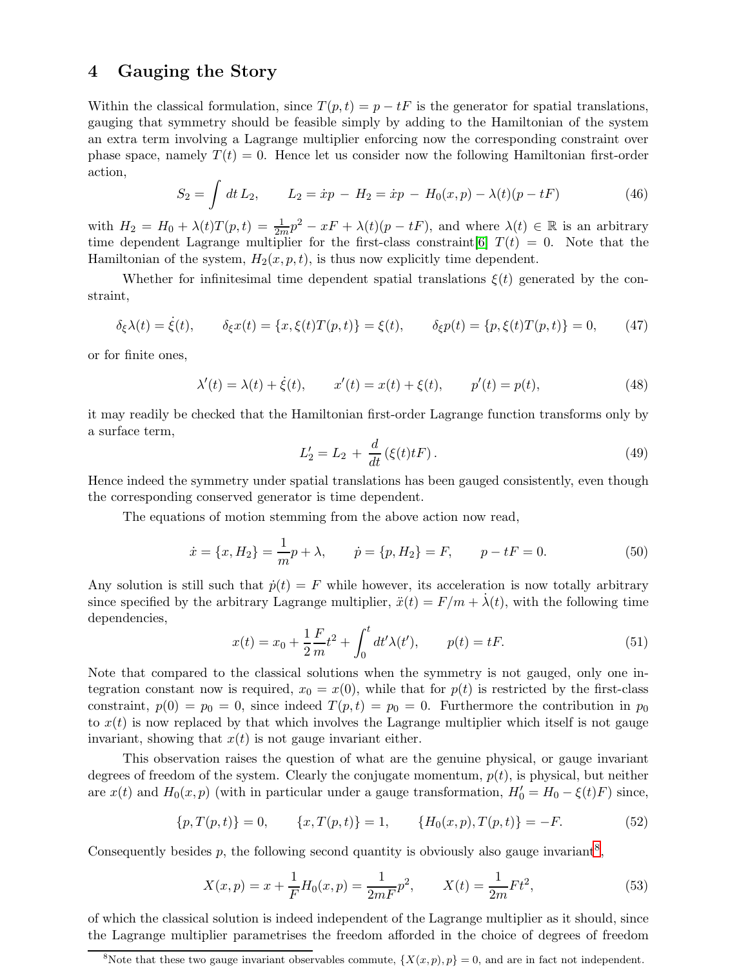### 4 Gauging the Story

Within the classical formulation, since  $T(p,t) = p - tF$  is the generator for spatial translations, gauging that symmetry should be feasible simply by adding to the Hamiltonian of the system an extra term involving a Lagrange multiplier enforcing now the corresponding constraint over phase space, namely  $T(t) = 0$ . Hence let us consider now the following Hamiltonian first-order action,

$$
S_2 = \int dt L_2, \qquad L_2 = \dot{x}p - H_2 = \dot{x}p - H_0(x, p) - \lambda(t)(p - tF) \tag{46}
$$

with  $H_2 = H_0 + \lambda(t)T(p,t) = \frac{1}{2m}p^2 - xF + \lambda(t)(p - tF)$ , and where  $\lambda(t) \in \mathbb{R}$  is an arbitrary time dependent Lagrange multiplier for the first-class constraint [\[6\]](#page-12-5)  $T(t) = 0$ . Note that the Hamiltonian of the system,  $H_2(x, p, t)$ , is thus now explicitly time dependent.

Whether for infinitesimal time dependent spatial translations  $\xi(t)$  generated by the constraint,

$$
\delta_{\xi}\lambda(t) = \dot{\xi}(t), \qquad \delta_{\xi}x(t) = \{x, \xi(t)T(p, t)\} = \xi(t), \qquad \delta_{\xi}p(t) = \{p, \xi(t)T(p, t)\} = 0,\tag{47}
$$

or for finite ones,

$$
\lambda'(t) = \lambda(t) + \dot{\xi}(t), \qquad x'(t) = x(t) + \xi(t), \qquad p'(t) = p(t), \tag{48}
$$

it may readily be checked that the Hamiltonian first-order Lagrange function transforms only by a surface term,

$$
L_2' = L_2 + \frac{d}{dt} (\xi(t)t) \,. \tag{49}
$$

Hence indeed the symmetry under spatial translations has been gauged consistently, even though the corresponding conserved generator is time dependent.

The equations of motion stemming from the above action now read,

$$
\dot{x} = \{x, H_2\} = \frac{1}{m}p + \lambda, \qquad \dot{p} = \{p, H_2\} = F, \qquad p - tF = 0.
$$
 (50)

Any solution is still such that  $\dot{p}(t) = F$  while however, its acceleration is now totally arbitrary since specified by the arbitrary Lagrange multiplier,  $\ddot{x}(t) = F/m + \dot{\lambda}(t)$ , with the following time dependencies,

$$
x(t) = x_0 + \frac{1}{2}\frac{F}{m}t^2 + \int_0^t dt' \lambda(t'), \qquad p(t) = t.
$$
 (51)

Note that compared to the classical solutions when the symmetry is not gauged, only one integration constant now is required,  $x_0 = x(0)$ , while that for  $p(t)$  is restricted by the first-class constraint,  $p(0) = p_0 = 0$ , since indeed  $T(p,t) = p_0 = 0$ . Furthermore the contribution in  $p_0$ to  $x(t)$  is now replaced by that which involves the Lagrange multiplier which itself is not gauge invariant, showing that  $x(t)$  is not gauge invariant either.

This observation raises the question of what are the genuine physical, or gauge invariant degrees of freedom of the system. Clearly the conjugate momentum,  $p(t)$ , is physical, but neither are  $x(t)$  and  $H_0(x, p)$  (with in particular under a gauge transformation,  $H'_0 = H_0 - \xi(t)F$ ) since,

$$
\{p, T(p, t)\} = 0, \qquad \{x, T(p, t)\} = 1, \qquad \{H_0(x, p), T(p, t)\} = -F. \tag{52}
$$

Consequently besides  $p$ , the following second quantity is obviously also gauge invariant<sup>[8](#page-8-0)</sup>,

$$
X(x,p) = x + \frac{1}{F}H_0(x,p) = \frac{1}{2mF}p^2, \qquad X(t) = \frac{1}{2m}Ft^2,
$$
\n(53)

of which the classical solution is indeed independent of the Lagrange multiplier as it should, since the Lagrange multiplier parametrises the freedom afforded in the choice of degrees of freedom

<span id="page-8-0"></span><sup>&</sup>lt;sup>8</sup>Note that these two gauge invariant observables commute,  $\{X(x,p),p\}=0$ , and are in fact not independent.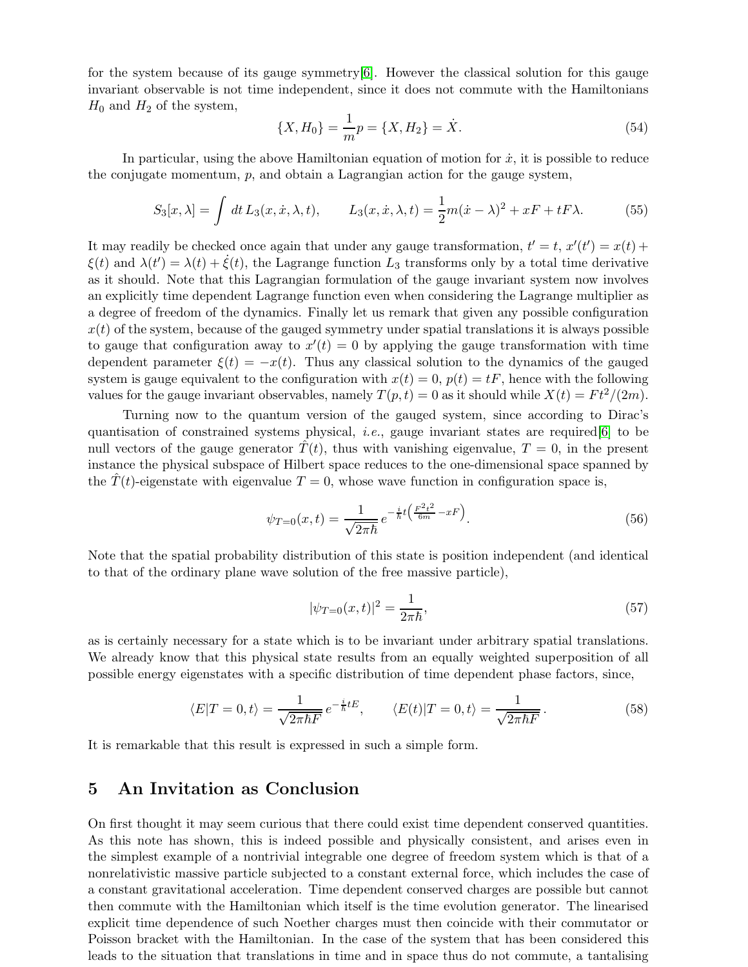for the system because of its gauge symmetry  $[6]$ . However the classical solution for this gauge invariant observable is not time independent, since it does not commute with the Hamiltonians  $H_0$  and  $H_2$  of the system,

$$
\{X, H_0\} = \frac{1}{m}p = \{X, H_2\} = \dot{X}.
$$
\n(54)

In particular, using the above Hamiltonian equation of motion for  $\dot{x}$ , it is possible to reduce the conjugate momentum, p, and obtain a Lagrangian action for the gauge system,

$$
S_3[x,\lambda] = \int dt L_3(x,\dot{x},\lambda,t), \qquad L_3(x,\dot{x},\lambda,t) = \frac{1}{2}m(\dot{x}-\lambda)^2 + xF + tF\lambda.
$$
 (55)

It may readily be checked once again that under any gauge transformation,  $t' = t$ ,  $x'(t') = x(t) +$  $\xi(t)$  and  $\lambda(t') = \lambda(t) + \dot{\xi}(t)$ , the Lagrange function  $L_3$  transforms only by a total time derivative as it should. Note that this Lagrangian formulation of the gauge invariant system now involves an explicitly time dependent Lagrange function even when considering the Lagrange multiplier as a degree of freedom of the dynamics. Finally let us remark that given any possible configuration  $x(t)$  of the system, because of the gauged symmetry under spatial translations it is always possible to gauge that configuration away to  $x'(t) = 0$  by applying the gauge transformation with time dependent parameter  $\xi(t) = -x(t)$ . Thus any classical solution to the dynamics of the gauged system is gauge equivalent to the configuration with  $x(t) = 0$ ,  $p(t) = tF$ , hence with the following values for the gauge invariant observables, namely  $T(p, t) = 0$  as it should while  $X(t) = Ft^2/(2m)$ .

Turning now to the quantum version of the gauged system, since according to Dirac's quantisation of constrained systems physical, *i.e.*, gauge invariant states are required  $[6]$  to be null vectors of the gauge generator  $T(t)$ , thus with vanishing eigenvalue,  $T = 0$ , in the present instance the physical subspace of Hilbert space reduces to the one-dimensional space spanned by the  $T(t)$ -eigenstate with eigenvalue  $T = 0$ , whose wave function in configuration space is,

$$
\psi_{T=0}(x,t) = \frac{1}{\sqrt{2\pi\hbar}} e^{-\frac{i}{\hbar}t \left(\frac{F^2 t^2}{6m} - xF\right)}.
$$
\n(56)

Note that the spatial probability distribution of this state is position independent (and identical to that of the ordinary plane wave solution of the free massive particle),

$$
|\psi_{T=0}(x,t)|^2 = \frac{1}{2\pi\hbar},\tag{57}
$$

as is certainly necessary for a state which is to be invariant under arbitrary spatial translations. We already know that this physical state results from an equally weighted superposition of all possible energy eigenstates with a specific distribution of time dependent phase factors, since,

$$
\langle E|T=0,t\rangle = \frac{1}{\sqrt{2\pi\hbar F}} e^{-\frac{i}{\hbar}tE}, \qquad \langle E(t)|T=0,t\rangle = \frac{1}{\sqrt{2\pi\hbar F}}.\tag{58}
$$

It is remarkable that this result is expressed in such a simple form.

## 5 An Invitation as Conclusion

On first thought it may seem curious that there could exist time dependent conserved quantities. As this note has shown, this is indeed possible and physically consistent, and arises even in the simplest example of a nontrivial integrable one degree of freedom system which is that of a nonrelativistic massive particle subjected to a constant external force, which includes the case of a constant gravitational acceleration. Time dependent conserved charges are possible but cannot then commute with the Hamiltonian which itself is the time evolution generator. The linearised explicit time dependence of such Noether charges must then coincide with their commutator or Poisson bracket with the Hamiltonian. In the case of the system that has been considered this leads to the situation that translations in time and in space thus do not commute, a tantalising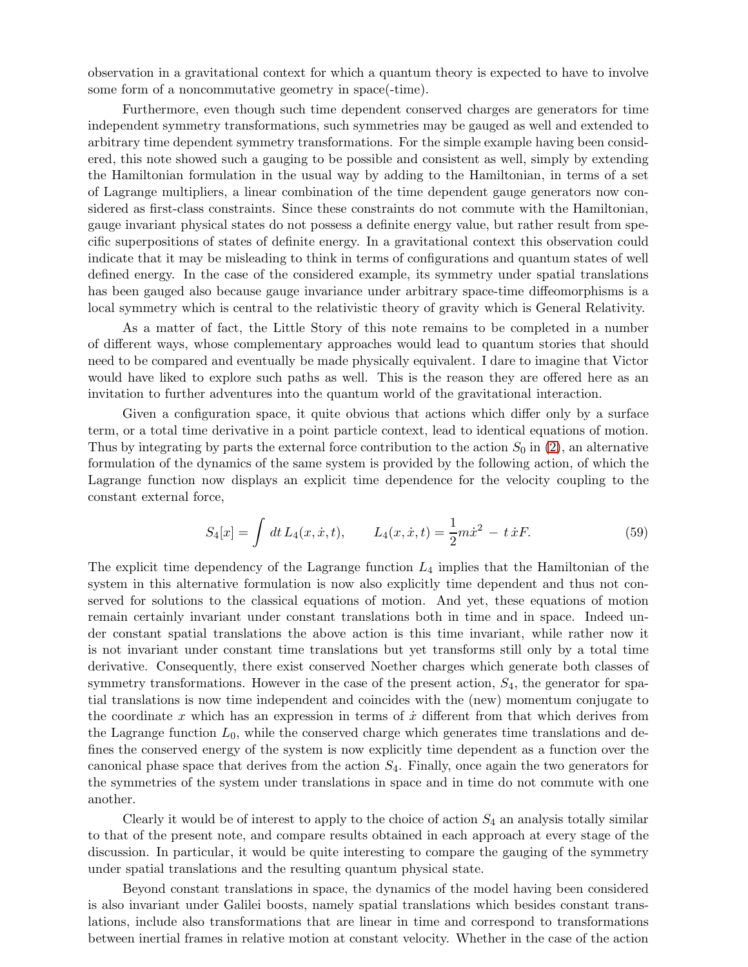observation in a gravitational context for which a quantum theory is expected to have to involve some form of a noncommutative geometry in space(-time).

Furthermore, even though such time dependent conserved charges are generators for time independent symmetry transformations, such symmetries may be gauged as well and extended to arbitrary time dependent symmetry transformations. For the simple example having been considered, this note showed such a gauging to be possible and consistent as well, simply by extending the Hamiltonian formulation in the usual way by adding to the Hamiltonian, in terms of a set of Lagrange multipliers, a linear combination of the time dependent gauge generators now considered as first-class constraints. Since these constraints do not commute with the Hamiltonian, gauge invariant physical states do not possess a definite energy value, but rather result from specific superpositions of states of definite energy. In a gravitational context this observation could indicate that it may be misleading to think in terms of configurations and quantum states of well defined energy. In the case of the considered example, its symmetry under spatial translations has been gauged also because gauge invariance under arbitrary space-time diffeomorphisms is a local symmetry which is central to the relativistic theory of gravity which is General Relativity.

As a matter of fact, the Little Story of this note remains to be completed in a number of different ways, whose complementary approaches would lead to quantum stories that should need to be compared and eventually be made physically equivalent. I dare to imagine that Victor would have liked to explore such paths as well. This is the reason they are offered here as an invitation to further adventures into the quantum world of the gravitational interaction.

Given a configuration space, it quite obvious that actions which differ only by a surface term, or a total time derivative in a point particle context, lead to identical equations of motion. Thus by integrating by parts the external force contribution to the action  $S_0$  in [\(2\)](#page-2-0), an alternative formulation of the dynamics of the same system is provided by the following action, of which the Lagrange function now displays an explicit time dependence for the velocity coupling to the constant external force,

$$
S_4[x] = \int dt L_4(x, \dot{x}, t), \qquad L_4(x, \dot{x}, t) = \frac{1}{2}m\dot{x}^2 - t\,\dot{x}F. \tag{59}
$$

The explicit time dependency of the Lagrange function  $L_4$  implies that the Hamiltonian of the system in this alternative formulation is now also explicitly time dependent and thus not conserved for solutions to the classical equations of motion. And yet, these equations of motion remain certainly invariant under constant translations both in time and in space. Indeed under constant spatial translations the above action is this time invariant, while rather now it is not invariant under constant time translations but yet transforms still only by a total time derivative. Consequently, there exist conserved Noether charges which generate both classes of symmetry transformations. However in the case of the present action,  $S_4$ , the generator for spatial translations is now time independent and coincides with the (new) momentum conjugate to the coordinate  $x$  which has an expression in terms of  $\dot{x}$  different from that which derives from the Lagrange function  $L_0$ , while the conserved charge which generates time translations and defines the conserved energy of the system is now explicitly time dependent as a function over the canonical phase space that derives from the action  $S<sub>4</sub>$ . Finally, once again the two generators for the symmetries of the system under translations in space and in time do not commute with one another.

Clearly it would be of interest to apply to the choice of action  $S_4$  an analysis totally similar to that of the present note, and compare results obtained in each approach at every stage of the discussion. In particular, it would be quite interesting to compare the gauging of the symmetry under spatial translations and the resulting quantum physical state.

Beyond constant translations in space, the dynamics of the model having been considered is also invariant under Galilei boosts, namely spatial translations which besides constant translations, include also transformations that are linear in time and correspond to transformations between inertial frames in relative motion at constant velocity. Whether in the case of the action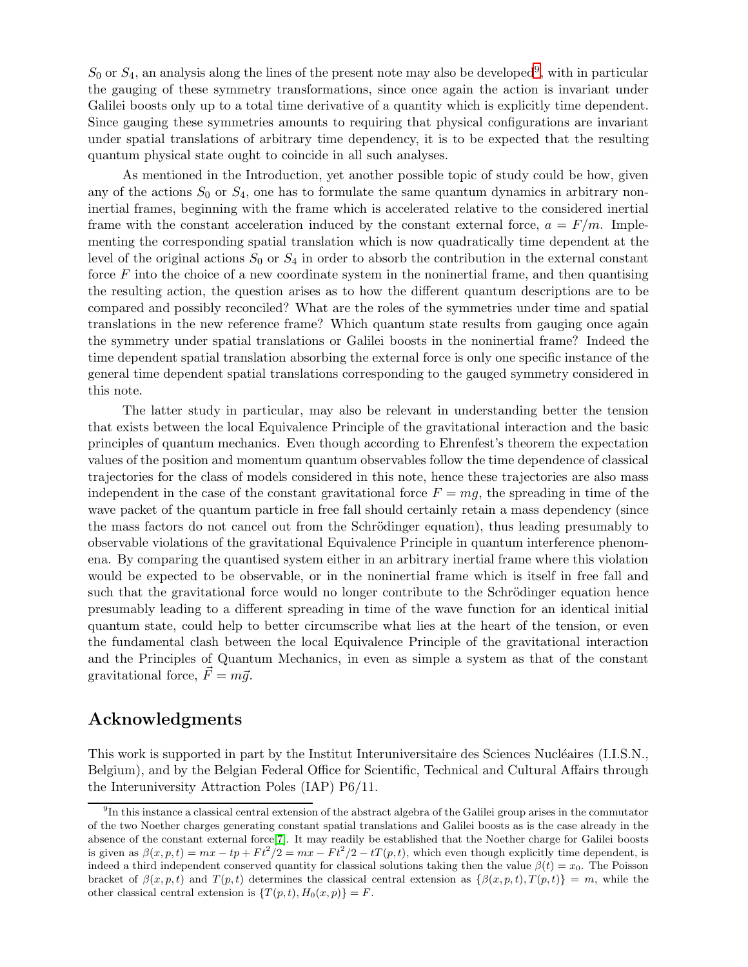$S_0$  or  $S_4$ , an analysis along the lines of the present note may also be developed<sup>[9](#page-11-0)</sup>, with in particular the gauging of these symmetry transformations, since once again the action is invariant under Galilei boosts only up to a total time derivative of a quantity which is explicitly time dependent. Since gauging these symmetries amounts to requiring that physical configurations are invariant under spatial translations of arbitrary time dependency, it is to be expected that the resulting quantum physical state ought to coincide in all such analyses.

As mentioned in the Introduction, yet another possible topic of study could be how, given any of the actions  $S_0$  or  $S_4$ , one has to formulate the same quantum dynamics in arbitrary noninertial frames, beginning with the frame which is accelerated relative to the considered inertial frame with the constant acceleration induced by the constant external force,  $a = F/m$ . Implementing the corresponding spatial translation which is now quadratically time dependent at the level of the original actions  $S_0$  or  $S_4$  in order to absorb the contribution in the external constant force  $F$  into the choice of a new coordinate system in the noninertial frame, and then quantising the resulting action, the question arises as to how the different quantum descriptions are to be compared and possibly reconciled? What are the roles of the symmetries under time and spatial translations in the new reference frame? Which quantum state results from gauging once again the symmetry under spatial translations or Galilei boosts in the noninertial frame? Indeed the time dependent spatial translation absorbing the external force is only one specific instance of the general time dependent spatial translations corresponding to the gauged symmetry considered in this note.

The latter study in particular, may also be relevant in understanding better the tension that exists between the local Equivalence Principle of the gravitational interaction and the basic principles of quantum mechanics. Even though according to Ehrenfest's theorem the expectation values of the position and momentum quantum observables follow the time dependence of classical trajectories for the class of models considered in this note, hence these trajectories are also mass independent in the case of the constant gravitational force  $F = mg$ , the spreading in time of the wave packet of the quantum particle in free fall should certainly retain a mass dependency (since the mass factors do not cancel out from the Schrödinger equation), thus leading presumably to observable violations of the gravitational Equivalence Principle in quantum interference phenomena. By comparing the quantised system either in an arbitrary inertial frame where this violation would be expected to be observable, or in the noninertial frame which is itself in free fall and such that the gravitational force would no longer contribute to the Schrödinger equation hence presumably leading to a different spreading in time of the wave function for an identical initial quantum state, could help to better circumscribe what lies at the heart of the tension, or even the fundamental clash between the local Equivalence Principle of the gravitational interaction and the Principles of Quantum Mechanics, in even as simple a system as that of the constant gravitational force,  $\vec{F} = m\vec{q}$ .

## Acknowledgments

This work is supported in part by the Institut Interuniversitaire des Sciences Nucléaires (I.I.S.N., Belgium), and by the Belgian Federal Office for Scientific, Technical and Cultural Affairs through the Interuniversity Attraction Poles (IAP) P6/11.

<span id="page-11-0"></span><sup>&</sup>lt;sup>9</sup>In this instance a classical central extension of the abstract algebra of the Galilei group arises in the commutator of the two Noether charges generating constant spatial translations and Galilei boosts as is the case already in the absence of the constant external force[\[7\]](#page-12-6). It may readily be established that the Noether charge for Galilei boosts is given as  $\beta(x, p, t) = mx - tp + Ft^2/2 = mx - Ft^2/2 - tT(p, t)$ , which even though explicitly time dependent, is indeed a third independent conserved quantity for classical solutions taking then the value  $\beta(t) = x_0$ . The Poisson bracket of  $\beta(x, p, t)$  and  $T(p, t)$  determines the classical central extension as  $\{\beta(x, p, t), T(p, t)\} = m$ , while the other classical central extension is  $\{T(p,t), H_0(x,p)\} = F$ .